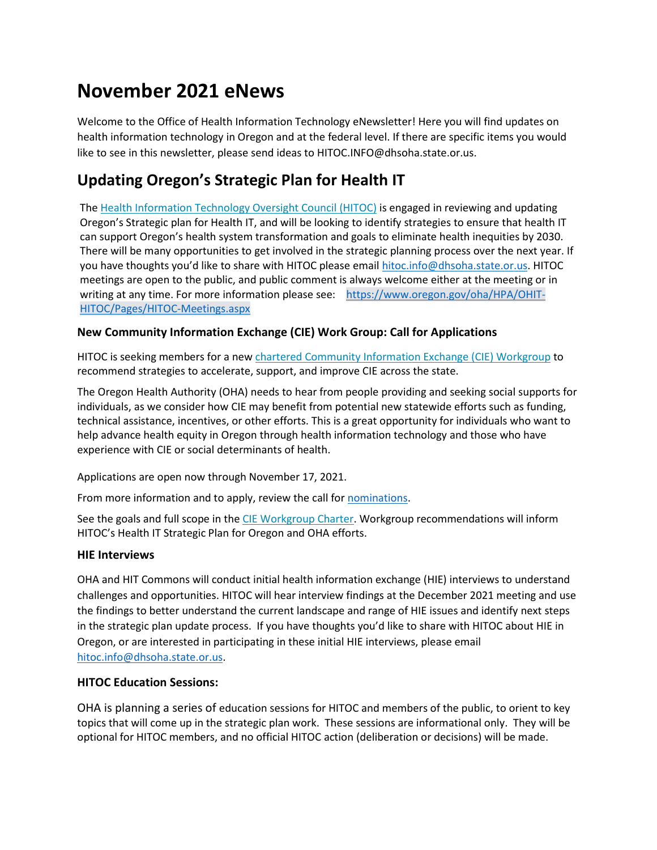# **November 2021 eNews**

Welcome to the Office of Health Information Technology eNewsletter! Here you will find updates on health information technology in Oregon and at the federal level. If there are specific items you would like to see in this newsletter, please send ideas to HITOC.INFO@dhsoha.state.or.us.

# **Updating Oregon's Strategic Plan for Health IT**

Th[e Health Information Technology Oversight Council \(HITOC\)](https://www.oregon.gov/oha/hpa/ohit-hitoc/pages/index.aspx) is engaged in reviewing and updating Oregon's Strategic plan for Health IT, and will be looking to identify strategies to ensure that health IT can support Oregon's health system transformation and goals to eliminate health inequities by 2030. There will be many opportunities to get involved in the strategic planning process over the next year. If you have thoughts you'd like to share with HITOC please email [hitoc.info@dhsoha.state.or.us.](mailto:hitoc.info@dhsoha.state.or.us) HITOC meetings are open to the public, and public comment is always welcome either at the meeting or in writing at any time. For more information please see: [https://www.oregon.gov/oha/HPA/OHIT-](https://www.oregon.gov/oha/HPA/OHIT-HITOC/Pages/HITOC-Meetings.aspx)[HITOC/Pages/HITOC-Meetings.aspx](https://www.oregon.gov/oha/HPA/OHIT-HITOC/Pages/HITOC-Meetings.aspx)

#### **New Community Information Exchange (CIE) Work Group: Call for Applications**

HITOC is seeking members for a new [chartered Community Information Exchange \(CIE\) Workgroup](https://www.oregon.gov/oha/HPA/OHIT-HITOC/Documents/HITOC-CIEWorkgroupCharter.pdf) to recommend strategies to accelerate, support, and improve CIE across the state.

The Oregon Health Authority (OHA) needs to hear from people providing and seeking social supports for individuals, as we consider how CIE may benefit from potential new statewide efforts such as funding, technical assistance, incentives, or other efforts. This is a great opportunity for individuals who want to help advance health equity in Oregon through health information technology and those who have experience with CIE or social determinants of health.

Applications are open now through November 17, 2021.

From more information and to apply, review the call for [nominations.](https://www.oregon.gov/oha/HPA/OHIT-HITOC/Documents/CIEWorkgroupApplication.docx)

See the goals and full scope in the [CIE Workgroup Charter.](https://www.oregon.gov/oha/HPA/OHIT-HITOC/Documents/HITOC-CIEWorkgroupCharter.pdf) Workgroup recommendations will inform HITOC's Health IT Strategic Plan for Oregon and OHA efforts.

#### **HIE Interviews**

OHA and HIT Commons will conduct initial health information exchange (HIE) interviews to understand challenges and opportunities. HITOC will hear interview findings at the December 2021 meeting and use the findings to better understand the current landscape and range of HIE issues and identify next steps in the strategic plan update process. If you have thoughts you'd like to share with HITOC about HIE in Oregon, or are interested in participating in these initial HIE interviews, please email [hitoc.info@dhsoha.state.or.us.](mailto:hitoc.info@dhsoha.state.or.us)

#### **HITOC Education Sessions:**

OHA is planning a series of education sessions for HITOC and members of the public, to orient to key topics that will come up in the strategic plan work. These sessions are informational only. They will be optional for HITOC members, and no official HITOC action (deliberation or decisions) will be made.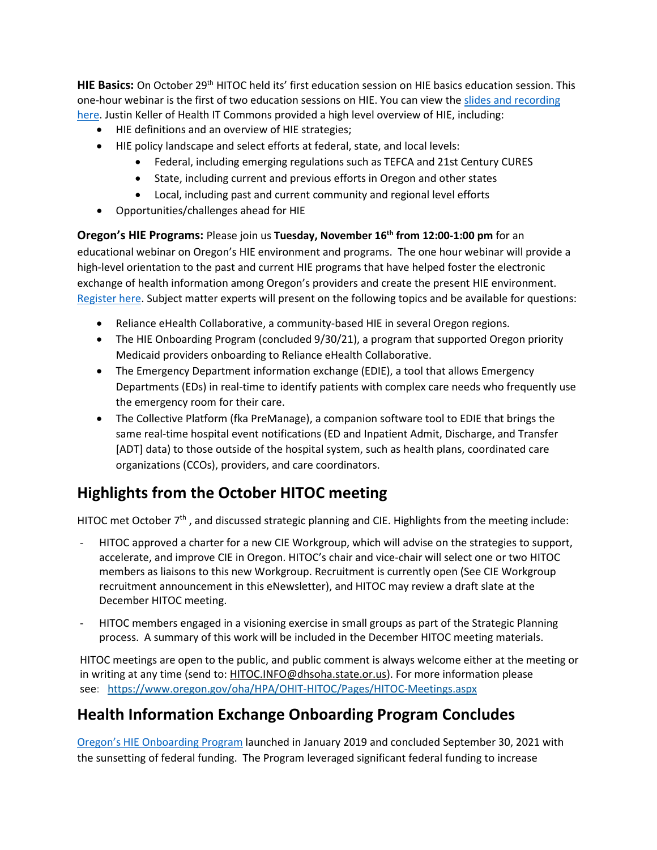**HIE Basics:** On October 29th HITOC held its' first education session on HIE basics education session. This one-hour webinar is the first of two education sessions on HIE. You can view th[e slides and recording](https://www.oregon.gov/oha/HPA/OHIT-HITOC/Pages/HITOC-Meetings.aspx)  [here.](https://www.oregon.gov/oha/HPA/OHIT-HITOC/Pages/HITOC-Meetings.aspx) Justin Keller of Health IT Commons provided a high level overview of HIE, including:

- HIE definitions and an overview of HIE strategies;
- HIE policy landscape and select efforts at federal, state, and local levels:
	- Federal, including emerging regulations such as TEFCA and 21st Century CURES
	- State, including current and previous efforts in Oregon and other states
	- Local, including past and current community and regional level efforts
- Opportunities/challenges ahead for HIE

**Oregon's HIE Programs:** Please join us **Tuesday, November 16th from 12:00-1:00 pm** for an educational webinar on Oregon's HIE environment and programs. The one hour webinar will provide a high-level orientation to the past and current HIE programs that have helped foster the electronic exchange of health information among Oregon's providers and create the present HIE environment. [Register here.](https://www.zoomgov.com/meeting/register/vJItfumvrTIoE92N_f1_UmehbYvhSD8xkaY) Subject matter experts will present on the following topics and be available for questions:

- Reliance eHealth Collaborative, a community-based HIE in several Oregon regions.
- The HIE Onboarding Program (concluded 9/30/21), a program that supported Oregon priority Medicaid providers onboarding to Reliance eHealth Collaborative.
- The Emergency Department information exchange (EDIE), a tool that allows Emergency Departments (EDs) in real-time to identify patients with complex care needs who frequently use the emergency room for their care.
- The Collective Platform (fka PreManage), a companion software tool to EDIE that brings the same real-time hospital event notifications (ED and Inpatient Admit, Discharge, and Transfer [ADT] data) to those outside of the hospital system, such as health plans, coordinated care organizations (CCOs), providers, and care coordinators.

# **Highlights from the October HITOC meeting**

HITOC met October 7<sup>th</sup>, and discussed strategic planning and CIE. Highlights from the meeting include:

- HITOC approved a charter for a new CIE Workgroup, which will advise on the strategies to support, accelerate, and improve CIE in Oregon. HITOC's chair and vice-chair will select one or two HITOC members as liaisons to this new Workgroup. Recruitment is currently open (See CIE Workgroup recruitment announcement in this eNewsletter), and HITOC may review a draft slate at the December HITOC meeting.
- HITOC members engaged in a visioning exercise in small groups as part of the Strategic Planning process. A summary of this work will be included in the December HITOC meeting materials.

HITOC meetings are open to the public, and public comment is always welcome either at the meeting or in writing at any time (send to: [HITOC.INFO@dhsoha.state.or.us\)](mailto:HITOC.INFO@dhsoha.state.or.us). For more information please see: [https://www.oregon.gov/oha/HPA/OHIT-HITOC/Pages/HITOC-Meetings.aspx](https://lnks.gd/l/eyJhbGciOiJIUzI1NiJ9.eyJidWxsZXRpbl9saW5rX2lkIjoxMDEsInVyaSI6ImJwMjpjbGljayIsImJ1bGxldGluX2lkIjoiMjAyMTEwMDUuNDY4ODk0NTEiLCJ1cmwiOiJodHRwczovL3d3dy5vcmVnb24uZ292L29oYS9IUEEvT0hJVC1ISVRPQy9QYWdlcy9ISVRPQy1NZWV0aW5ncy5hc3B4P3V0bV9tZWRpdW09ZW1haWwmdXRtX3NvdXJjZT1nb3ZkZWxpdmVyeSJ9.tmfQuSIXZtEQoEk6OcfrJ0OD3VzreiP72mFGvRC9ow4/s/629721019/br/113360312784-l)

# **Health Information Exchange Onboarding Program Concludes**

[Oregon's HIE Onboarding Program](https://www.oregon.gov/oha/HPA/OHIT/Pages/HIE-onboarding.aspx) launched in January 2019 and concluded September 30, 2021 with the sunsetting of federal funding. The Program leveraged significant federal funding to increase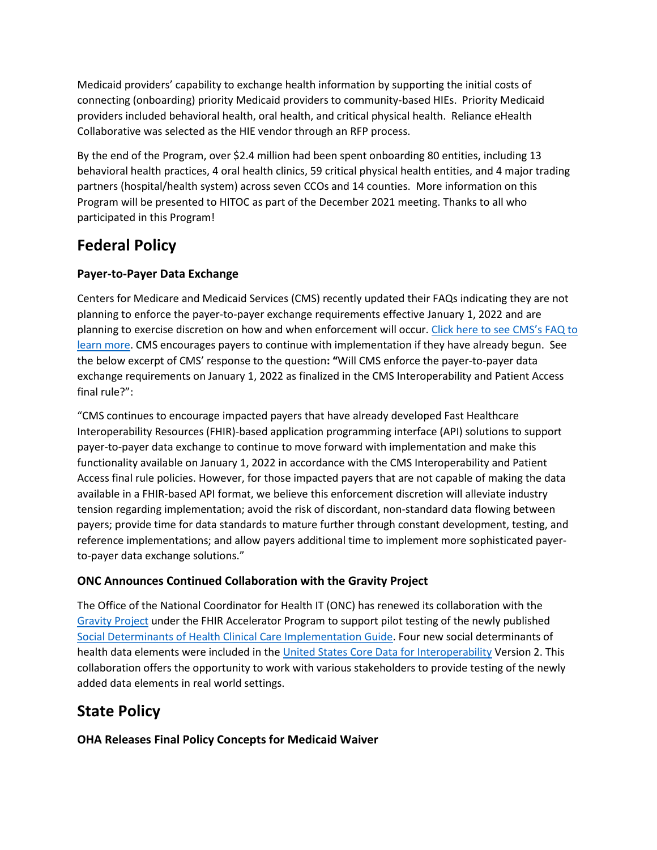Medicaid providers' capability to exchange health information by supporting the initial costs of connecting (onboarding) priority Medicaid providers to community-based HIEs. Priority Medicaid providers included behavioral health, oral health, and critical physical health. Reliance eHealth Collaborative was selected as the HIE vendor through an RFP process.

By the end of the Program, over \$2.4 million had been spent onboarding 80 entities, including 13 behavioral health practices, 4 oral health clinics, 59 critical physical health entities, and 4 major trading partners (hospital/health system) across seven CCOs and 14 counties. More information on this Program will be presented to HITOC as part of the December 2021 meeting. Thanks to all who participated in this Program!

# **Federal Policy**

### **Payer-to-Payer Data Exchange**

Centers for Medicare and Medicaid Services (CMS) recently updated their FAQs indicating they are not planning to enforce the payer-to-payer exchange requirements effective January 1, 2022 and are planning to exercise discretion on how and when enforcement will occur. [Click here to see CMS's FAQ to](https://urldefense.com/v3/__https:/www.cms.gov/about-cms/health-informatics-and-interoperability-group/faqs*122__;Iw!!OxGzbBZ6!IOoBQX2qJVW9AH56XcUeJ1FfWkCtLQnVeVr9UA9Psns5XAGnjjyEUf5S7GSV1LbRsDx5OfOPUag$)  [learn more.](https://urldefense.com/v3/__https:/www.cms.gov/about-cms/health-informatics-and-interoperability-group/faqs*122__;Iw!!OxGzbBZ6!IOoBQX2qJVW9AH56XcUeJ1FfWkCtLQnVeVr9UA9Psns5XAGnjjyEUf5S7GSV1LbRsDx5OfOPUag$) CMS encourages payers to continue with implementation if they have already begun. See the below excerpt of CMS' response to the question**: "**Will CMS enforce the payer-to-payer data exchange requirements on January 1, 2022 as finalized in the CMS Interoperability and Patient Access final rule?":

"CMS continues to encourage impacted payers that have already developed Fast Healthcare Interoperability Resources (FHIR)-based application programming interface (API) solutions to support payer-to-payer data exchange to continue to move forward with implementation and make this functionality available on January 1, 2022 in accordance with the CMS Interoperability and Patient Access final rule policies. However, for those impacted payers that are not capable of making the data available in a FHIR-based API format, we believe this enforcement discretion will alleviate industry tension regarding implementation; avoid the risk of discordant, non-standard data flowing between payers; provide time for data standards to mature further through constant development, testing, and reference implementations; and allow payers additional time to implement more sophisticated payerto-payer data exchange solutions."

### **ONC Announces Continued Collaboration with the Gravity Project**

The Office of the National Coordinator for Health IT (ONC) has renewed its collaboration with the [Gravity Project](https://urldefense.com/v3/__https:/click.connect.hhs.gov/?qs=9b8a9dd620f9e19a02bb793c68aafb272c80911e8679958504c2e06ec8b8ffd368a4f998d282918680c9de4e4ea0447af97853149220dbf5__;!!OxGzbBZ6!LosOFZF2jqTM-8fd8QWGXPfPUzHgVEdFIrkeyOTpV8QPGdYU0ZEHu0qOAb-pvF5502cjElzJy8U$) under the FHIR Accelerator Program to support pilot testing of the newly published [Social Determinants of Health Clinical Care Implementation Guide.](https://urldefense.com/v3/__https:/click.connect.hhs.gov/?qs=9b8a9dd620f9e19ab90d4934f8fd8496f1bbdaa0fb8b4e1c083c9520dca6bca73fa740a1f8fd2a2cd43b95a911132aecf5ac78bbe85395d7__;!!OxGzbBZ6!LosOFZF2jqTM-8fd8QWGXPfPUzHgVEdFIrkeyOTpV8QPGdYU0ZEHu0qOAb-pvF5502cjDhTIFC8$) Four new social determinants of health data elements were included in th[e United States Core Data for Interoperability](https://urldefense.com/v3/__https:/click.connect.hhs.gov/?qs=9b8a9dd620f9e19ab054202a476859702b22ca6d8610c88409f690a52949a8f306fa8ff8d9016eed871054b13f20e02cd294ff9ef61449b9__;!!OxGzbBZ6!LosOFZF2jqTM-8fd8QWGXPfPUzHgVEdFIrkeyOTpV8QPGdYU0ZEHu0qOAb-pvF5502cjfP7HOGE$) Version 2. This collaboration offers the opportunity to work with various stakeholders to provide testing of the newly added data elements in real world settings.

# **State Policy**

**OHA Releases Final Policy Concepts for Medicaid Waiver**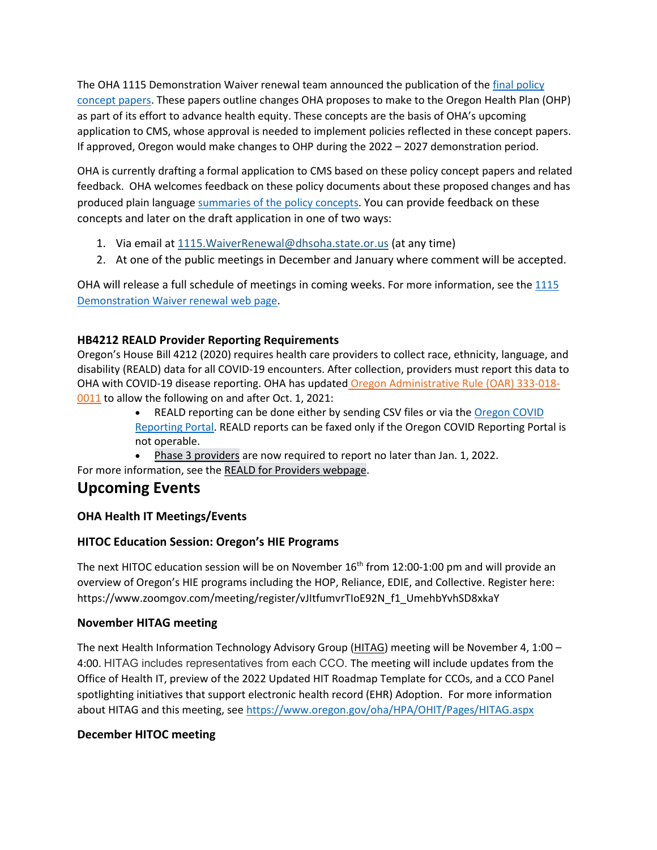The OHA 1115 Demonstration Waiver renewal team announced the publication of the [final policy](https://www.oregon.gov/oha/HSD/Medicaid-Policy/Pages/Waiver-Renewal.aspx#915e1f97-3776-4541-bf55-8a7d279fb383)  [concept papers.](https://www.oregon.gov/oha/HSD/Medicaid-Policy/Pages/Waiver-Renewal.aspx#915e1f97-3776-4541-bf55-8a7d279fb383) These papers outline changes OHA proposes to make to the Oregon Health Plan (OHP) as part of its effort to advance health equity. These concepts are the basis of OHA's upcoming application to CMS, whose approval is needed to implement policies reflected in these concept papers. If approved, Oregon would make changes to OHP during the 2022 – 2027 demonstration period.

OHA is currently drafting a formal application to CMS based on these policy concept papers and related feedback. OHA welcomes feedback on these policy documents about these proposed changes and has produced plain language summaries of [the policy concepts.](https://www.oregon.gov/oha/HSD/Medicaid-Policy/Pages/Waiver-Renewal.aspx#71fa55de-7ae3-4041-afc2-6dab6599e4ce) You can provide feedback on these concepts and later on the draft application in one of two ways:

- 1. Via email at 1115.WaiverRenewal@dhsoha.state.or.us (at any time)
- 2. At one of the public meetings in December and January where comment will be accepted.

OHA will release a full schedule of meetings in coming weeks. For more information, see th[e 1115](https://www.oregon.gov/oha/HSD/Medicaid-Policy/Pages/Waiver-Renewal.aspx#:%7E:text=Oregon%27s%202022%2D2027%20waiver%20will,Maximizing%20health%20care%20coverage.)  [Demonstration Waiver renewal web page.](https://www.oregon.gov/oha/HSD/Medicaid-Policy/Pages/Waiver-Renewal.aspx#:%7E:text=Oregon%27s%202022%2D2027%20waiver%20will,Maximizing%20health%20care%20coverage.)

### **HB4212 REALD Provider Reporting Requirements**

Oregon's House Bill 4212 (2020) requires health care providers to collect race, ethnicity, language, and disability (REALD) data for all COVID-19 encounters. After collection, providers must report this data to OHA with COVID-19 disease reporting. OHA has updated [Oregon Administrative Rule \(OAR\) 333-018-](https://secure.sos.state.or.us/oard/view.action?ruleNumber=333-018-0011&utm_medium=email&utm_name=providermatters091721&utm_source=govdelivery) [0011](https://secure.sos.state.or.us/oard/view.action?ruleNumber=333-018-0011&utm_medium=email&utm_name=providermatters091721&utm_source=govdelivery) to allow the following on and after Oct. 1, 2021:

- REALD reporting can be done either by sending CSV files or via the Oregon COVID [Reporting Portal.](https://www.oregon.gov/oha/ph/DiseasesConditions/CommunicableDisease/ReportingCommunicableDisease/Pages/counties.aspx?utm_medium=email&utm_name=providermatters091721&utm_source=govdelivery) REALD reports can be faxed only if the Oregon COVID Reporting Portal is not operable.
- [Phase 3 providers](https://www.oregon.gov/oha/OEI/Pages/REALD-Phase3.aspx) are now required to report no later than Jan. 1, 2022.

For more information, see the [REALD for Providers webpage.](https://www.oregon.gov/oha/OEI/Pages/REALD-Providers.aspx)

### **Upcoming Events**

### **OHA Health IT Meetings/Events**

### **HITOC Education Session: Oregon's HIE Programs**

The next HITOC education session will be on November  $16<sup>th</sup>$  from 12:00-1:00 pm and will provide an overview of Oregon's HIE programs including the HOP, Reliance, EDIE, and Collective. Register here: https://www.zoomgov.com/meeting/register/vJItfumvrTIoE92N\_f1\_UmehbYvhSD8xkaY

### **November HITAG meeting**

The next Health Information Technology Advisory Group [\(HITAG\)](https://www.oregon.gov/oha/HPA/OHIT/Pages/HITAG.aspx) meeting will be November 4, 1:00 – 4:00. HITAG includes representatives from each CCO. The meeting will include updates from the Office of Health IT, preview of the 2022 Updated HIT Roadmap Template for CCOs, and a CCO Panel spotlighting initiatives that support electronic health record (EHR) Adoption. For more information about HITAG and this meeting, se[e https://www.oregon.gov/oha/HPA/OHIT/Pages/HITAG.aspx](https://www.oregon.gov/oha/HPA/OHIT/Pages/HITAG.aspx)

### **December HITOC meeting**